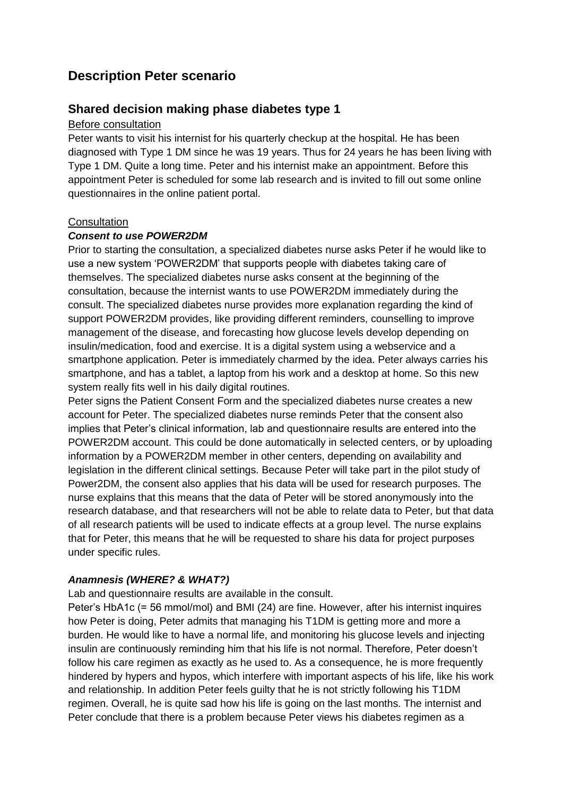# **Description Peter scenario**

## **Shared decision making phase diabetes type 1**

#### Before consultation

Peter wants to visit his internist for his quarterly checkup at the hospital. He has been diagnosed with Type 1 DM since he was 19 years. Thus for 24 years he has been living with Type 1 DM. Quite a long time. Peter and his internist make an appointment. Before this appointment Peter is scheduled for some lab research and is invited to fill out some online questionnaires in the online patient portal.

#### **Consultation**

#### *Consent to use POWER2DM*

Prior to starting the consultation, a specialized diabetes nurse asks Peter if he would like to use a new system 'POWER2DM' that supports people with diabetes taking care of themselves. The specialized diabetes nurse asks consent at the beginning of the consultation, because the internist wants to use POWER2DM immediately during the consult. The specialized diabetes nurse provides more explanation regarding the kind of support POWER2DM provides, like providing different reminders, counselling to improve management of the disease, and forecasting how glucose levels develop depending on insulin/medication, food and exercise. It is a digital system using a webservice and a smartphone application. Peter is immediately charmed by the idea. Peter always carries his smartphone, and has a tablet, a laptop from his work and a desktop at home. So this new system really fits well in his daily digital routines.

Peter signs the Patient Consent Form and the specialized diabetes nurse creates a new account for Peter. The specialized diabetes nurse reminds Peter that the consent also implies that Peter's clinical information, lab and questionnaire results are entered into the POWER2DM account. This could be done automatically in selected centers, or by uploading information by a POWER2DM member in other centers, depending on availability and legislation in the different clinical settings. Because Peter will take part in the pilot study of Power2DM, the consent also applies that his data will be used for research purposes. The nurse explains that this means that the data of Peter will be stored anonymously into the research database, and that researchers will not be able to relate data to Peter, but that data of all research patients will be used to indicate effects at a group level. The nurse explains that for Peter, this means that he will be requested to share his data for project purposes under specific rules.

#### *Anamnesis (WHERE? & WHAT?)*

Lab and questionnaire results are available in the consult.

Peter's HbA1c (= 56 mmol/mol) and BMI (24) are fine. However, after his internist inquires how Peter is doing, Peter admits that managing his T1DM is getting more and more a burden. He would like to have a normal life, and monitoring his glucose levels and injecting insulin are continuously reminding him that his life is not normal. Therefore, Peter doesn't follow his care regimen as exactly as he used to. As a consequence, he is more frequently hindered by hypers and hypos, which interfere with important aspects of his life, like his work and relationship. In addition Peter feels guilty that he is not strictly following his T1DM regimen. Overall, he is quite sad how his life is going on the last months. The internist and Peter conclude that there is a problem because Peter views his diabetes regimen as a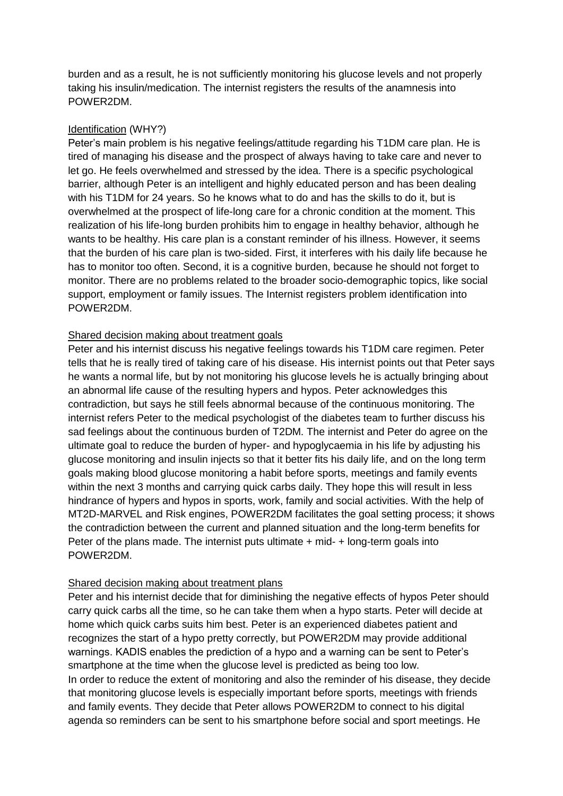burden and as a result, he is not sufficiently monitoring his glucose levels and not properly taking his insulin/medication. The internist registers the results of the anamnesis into POWER2DM.

## Identification (WHY?)

Peter's main problem is his negative feelings/attitude regarding his T1DM care plan. He is tired of managing his disease and the prospect of always having to take care and never to let go. He feels overwhelmed and stressed by the idea. There is a specific psychological barrier, although Peter is an intelligent and highly educated person and has been dealing with his T1DM for 24 years. So he knows what to do and has the skills to do it, but is overwhelmed at the prospect of life-long care for a chronic condition at the moment. This realization of his life-long burden prohibits him to engage in healthy behavior, although he wants to be healthy. His care plan is a constant reminder of his illness. However, it seems that the burden of his care plan is two-sided. First, it interferes with his daily life because he has to monitor too often. Second, it is a cognitive burden, because he should not forget to monitor. There are no problems related to the broader socio-demographic topics, like social support, employment or family issues. The Internist registers problem identification into POWER2DM.

## Shared decision making about treatment goals

Peter and his internist discuss his negative feelings towards his T1DM care regimen. Peter tells that he is really tired of taking care of his disease. His internist points out that Peter says he wants a normal life, but by not monitoring his glucose levels he is actually bringing about an abnormal life cause of the resulting hypers and hypos. Peter acknowledges this contradiction, but says he still feels abnormal because of the continuous monitoring. The internist refers Peter to the medical psychologist of the diabetes team to further discuss his sad feelings about the continuous burden of T2DM. The internist and Peter do agree on the ultimate goal to reduce the burden of hyper- and hypoglycaemia in his life by adjusting his glucose monitoring and insulin injects so that it better fits his daily life, and on the long term goals making blood glucose monitoring a habit before sports, meetings and family events within the next 3 months and carrying quick carbs daily. They hope this will result in less hindrance of hypers and hypos in sports, work, family and social activities. With the help of MT2D-MARVEL and Risk engines, POWER2DM facilitates the goal setting process; it shows the contradiction between the current and planned situation and the long-term benefits for Peter of the plans made. The internist puts ultimate + mid- + long-term goals into POWER2DM.

#### Shared decision making about treatment plans

Peter and his internist decide that for diminishing the negative effects of hypos Peter should carry quick carbs all the time, so he can take them when a hypo starts. Peter will decide at home which quick carbs suits him best. Peter is an experienced diabetes patient and recognizes the start of a hypo pretty correctly, but POWER2DM may provide additional warnings. KADIS enables the prediction of a hypo and a warning can be sent to Peter's smartphone at the time when the glucose level is predicted as being too low. In order to reduce the extent of monitoring and also the reminder of his disease, they decide that monitoring glucose levels is especially important before sports, meetings with friends and family events. They decide that Peter allows POWER2DM to connect to his digital agenda so reminders can be sent to his smartphone before social and sport meetings. He